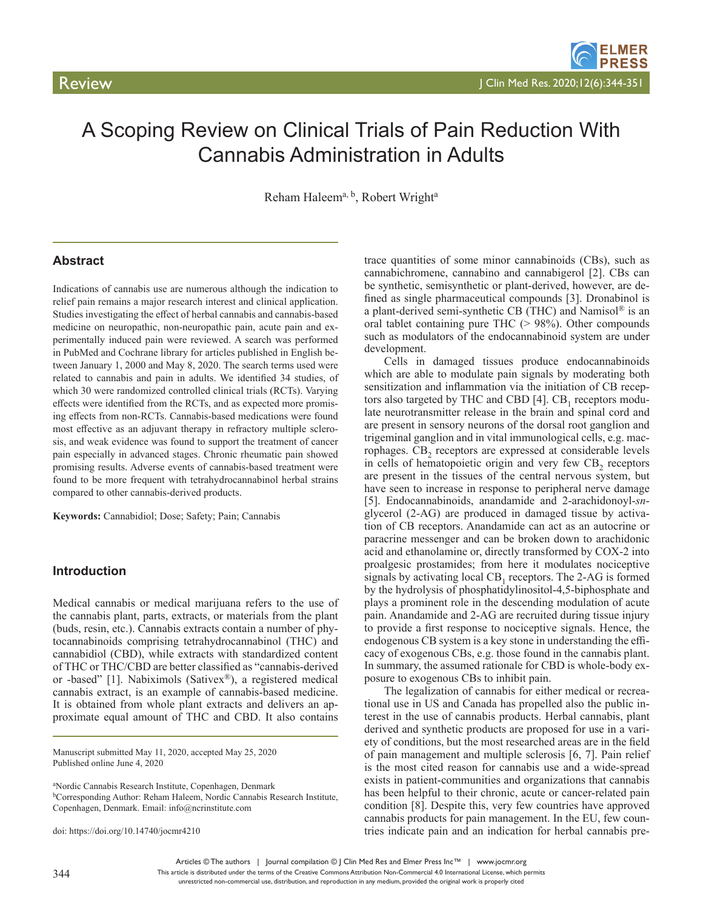# A Scoping Review on Clinical Trials of Pain Reduction With Cannabis Administration in Adults

Reham Haleem<sup>a, b</sup>, Robert Wright<sup>a</sup>

# **Abstract**

Indications of cannabis use are numerous although the indication to relief pain remains a major research interest and clinical application. Studies investigating the effect of herbal cannabis and cannabis-based medicine on neuropathic, non-neuropathic pain, acute pain and experimentally induced pain were reviewed. A search was performed in PubMed and Cochrane library for articles published in English between January 1, 2000 and May 8, 2020. The search terms used were related to cannabis and pain in adults. We identified 34 studies, of which 30 were randomized controlled clinical trials (RCTs). Varying effects were identified from the RCTs, and as expected more promising effects from non-RCTs. Cannabis-based medications were found most effective as an adjuvant therapy in refractory multiple sclerosis, and weak evidence was found to support the treatment of cancer pain especially in advanced stages. Chronic rheumatic pain showed promising results. Adverse events of cannabis-based treatment were found to be more frequent with tetrahydrocannabinol herbal strains compared to other cannabis-derived products.

**Keywords:** Cannabidiol; Dose; Safety; Pain; Cannabis

# **Introduction**

Medical cannabis or medical marijuana refers to the use of the cannabis plant, parts, extracts, or materials from the plant (buds, resin, etc.). Cannabis extracts contain a number of phytocannabinoids comprising tetrahydrocannabinol (THC) and cannabidiol (CBD), while extracts with standardized content of THC or THC/CBD are better classified as "cannabis-derived or -based" [1]. Nabiximols (Sativex®), a registered medical cannabis extract, is an example of cannabis-based medicine. It is obtained from whole plant extracts and delivers an approximate equal amount of THC and CBD. It also contains

Manuscript submitted May 11, 2020, accepted May 25, 2020 Published online June 4, 2020

a Nordic Cannabis Research Institute, Copenhagen, Denmark <sup>b</sup>Corresponding Author: Reham Haleem, Nordic Cannabis Research Institute, Copenhagen, Denmark. Email: info@ncrinstitute.com

doi: https://doi.org/10.14740/jocmr4210

trace quantities of some minor cannabinoids (CBs), such as cannabichromene, cannabino and cannabigerol [2]. CBs can be synthetic, semisynthetic or plant-derived, however, are defined as single pharmaceutical compounds [3]. Dronabinol is a plant-derived semi-synthetic CB (THC) and Namisol® is an oral tablet containing pure THC  $(> 98\%)$ . Other compounds such as modulators of the endocannabinoid system are under development.

Cells in damaged tissues produce endocannabinoids which are able to modulate pain signals by moderating both sensitization and inflammation via the initiation of CB receptors also targeted by THC and CBD  $[4]$ . CB<sub>1</sub> receptors modulate neurotransmitter release in the brain and spinal cord and are present in sensory neurons of the dorsal root ganglion and trigeminal ganglion and in vital immunological cells, e.g. macrophages. CB<sub>2</sub> receptors are expressed at considerable levels in cells of hematopoietic origin and very few CB<sub>2</sub> receptors are present in the tissues of the central nervous system, but have seen to increase in response to peripheral nerve damage [5]. Endocannabinoids, anandamide and 2-arachidonoyl-*sn*glycerol (2-AG) are produced in damaged tissue by activation of CB receptors. Anandamide can act as an autocrine or paracrine messenger and can be broken down to arachidonic acid and ethanolamine or, directly transformed by COX-2 into proalgesic prostamides; from here it modulates nociceptive signals by activating local  $CB_1$  receptors. The 2-AG is formed by the hydrolysis of phosphatidylinositol-4,5-biphosphate and plays a prominent role in the descending modulation of acute pain. Anandamide and 2-AG are recruited during tissue injury to provide a first response to nociceptive signals. Hence, the endogenous CB system is a key stone in understanding the efficacy of exogenous CBs, e.g. those found in the cannabis plant. In summary, the assumed rationale for CBD is whole-body exposure to exogenous CBs to inhibit pain.

The legalization of cannabis for either medical or recreational use in US and Canada has propelled also the public interest in the use of cannabis products. Herbal cannabis, plant derived and synthetic products are proposed for use in a variety of conditions, but the most researched areas are in the field of pain management and multiple sclerosis [6, 7]. Pain relief is the most cited reason for cannabis use and a wide-spread exists in patient-communities and organizations that cannabis has been helpful to their chronic, acute or cancer-related pain condition [8]. Despite this, very few countries have approved cannabis products for pain management. In the EU, few countries indicate pain and an indication for herbal cannabis pre-

Articles © The authors | Journal compilation © J Clin Med Res and Elmer Press Inc™ | www.jocmr.org

This article is distributed under the terms of the Creative Commons Attribution Non-Commercial 4.0 International License, which permits unrestricted non-commercial use, distribution, and reproduction in any medium, provided the original work is properly cited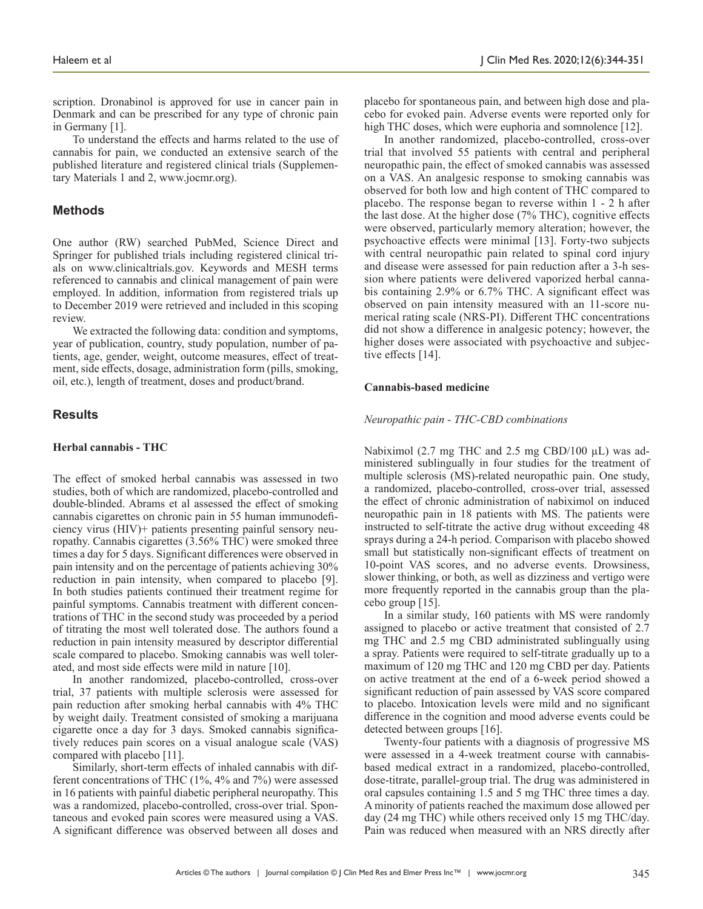scription. Dronabinol is approved for use in cancer pain in Denmark and can be prescribed for any type of chronic pain in Germany [1].

To understand the effects and harms related to the use of cannabis for pain, we conducted an extensive search of the published literature and registered clinical trials (Supplementary Materials 1 and 2, www.jocmr.org).

# **Methods**

One author (RW) searched PubMed, Science Direct and Springer for published trials including registered clinical trials on www.clinicaltrials.gov. Keywords and MESH terms referenced to cannabis and clinical management of pain were employed. In addition, information from registered trials up to December 2019 were retrieved and included in this scoping review.

We extracted the following data: condition and symptoms, year of publication, country, study population, number of patients, age, gender, weight, outcome measures, effect of treatment, side effects, dosage, administration form (pills, smoking, oil, etc.), length of treatment, doses and product/brand.

# **Results**

#### **Herbal cannabis - THC**

The effect of smoked herbal cannabis was assessed in two studies, both of which are randomized, placebo-controlled and double-blinded. Abrams et al assessed the effect of smoking cannabis cigarettes on chronic pain in 55 human immunodeficiency virus (HIV)+ patients presenting painful sensory neuropathy. Cannabis cigarettes (3.56% THC) were smoked three times a day for 5 days. Significant differences were observed in pain intensity and on the percentage of patients achieving 30% reduction in pain intensity, when compared to placebo [9]. In both studies patients continued their treatment regime for painful symptoms. Cannabis treatment with different concentrations of THC in the second study was proceeded by a period of titrating the most well tolerated dose. The authors found a reduction in pain intensity measured by descriptor differential scale compared to placebo. Smoking cannabis was well tolerated, and most side effects were mild in nature [10].

In another randomized, placebo-controlled, cross-over trial, 37 patients with multiple sclerosis were assessed for pain reduction after smoking herbal cannabis with 4% THC by weight daily. Treatment consisted of smoking a marijuana cigarette once a day for 3 days. Smoked cannabis significatively reduces pain scores on a visual analogue scale (VAS) compared with placebo [11].

Similarly, short-term effects of inhaled cannabis with different concentrations of THC (1%, 4% and 7%) were assessed in 16 patients with painful diabetic peripheral neuropathy. This was a randomized, placebo-controlled, cross-over trial. Spontaneous and evoked pain scores were measured using a VAS. A significant difference was observed between all doses and

placebo for spontaneous pain, and between high dose and placebo for evoked pain. Adverse events were reported only for high THC doses, which were euphoria and somnolence [12].

In another randomized, placebo-controlled, cross-over trial that involved 55 patients with central and peripheral neuropathic pain, the effect of smoked cannabis was assessed on a VAS. An analgesic response to smoking cannabis was observed for both low and high content of THC compared to placebo. The response began to reverse within 1 - 2 h after the last dose. At the higher dose (7% THC), cognitive effects were observed, particularly memory alteration; however, the psychoactive effects were minimal [13]. Forty-two subjects with central neuropathic pain related to spinal cord injury and disease were assessed for pain reduction after a 3-h session where patients were delivered vaporized herbal cannabis containing 2.9% or 6.7% THC. A significant effect was observed on pain intensity measured with an 11-score numerical rating scale (NRS-PI). Different THC concentrations did not show a difference in analgesic potency; however, the higher doses were associated with psychoactive and subjective effects [14].

#### **Cannabis-based medicine**

#### *Neuropathic pain - THC-CBD combinations*

Nabiximol (2.7 mg THC and 2.5 mg CBD/100  $\mu$ L) was administered sublingually in four studies for the treatment of multiple sclerosis (MS)-related neuropathic pain. One study, a randomized, placebo-controlled, cross-over trial, assessed the effect of chronic administration of nabiximol on induced neuropathic pain in 18 patients with MS. The patients were instructed to self-titrate the active drug without exceeding 48 sprays during a 24-h period. Comparison with placebo showed small but statistically non-significant effects of treatment on 10-point VAS scores, and no adverse events. Drowsiness, slower thinking, or both, as well as dizziness and vertigo were more frequently reported in the cannabis group than the placebo group [15].

In a similar study, 160 patients with MS were randomly assigned to placebo or active treatment that consisted of 2.7 mg THC and 2.5 mg CBD administrated sublingually using a spray. Patients were required to self-titrate gradually up to a maximum of 120 mg THC and 120 mg CBD per day. Patients on active treatment at the end of a 6-week period showed a significant reduction of pain assessed by VAS score compared to placebo. Intoxication levels were mild and no significant difference in the cognition and mood adverse events could be detected between groups [16].

Twenty-four patients with a diagnosis of progressive MS were assessed in a 4-week treatment course with cannabisbased medical extract in a randomized, placebo-controlled, dose-titrate, parallel-group trial. The drug was administered in oral capsules containing 1.5 and 5 mg THC three times a day. A minority of patients reached the maximum dose allowed per day (24 mg THC) while others received only 15 mg THC/day. Pain was reduced when measured with an NRS directly after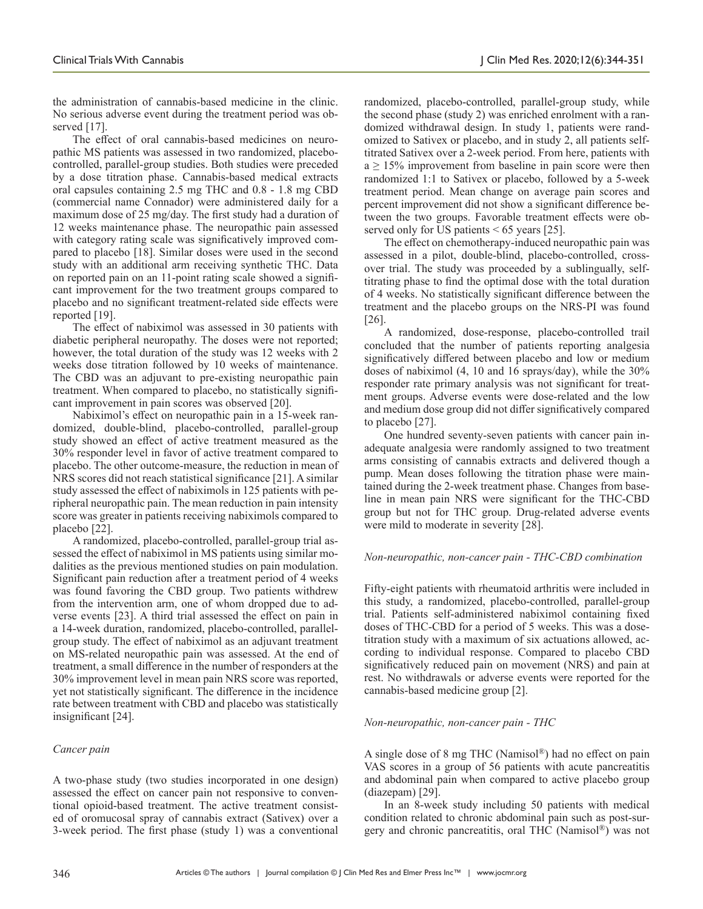the administration of cannabis-based medicine in the clinic. No serious adverse event during the treatment period was observed [17].

The effect of oral cannabis-based medicines on neuropathic MS patients was assessed in two randomized, placebocontrolled, parallel-group studies. Both studies were preceded by a dose titration phase. Cannabis-based medical extracts oral capsules containing 2.5 mg THC and 0.8 - 1.8 mg CBD (commercial name Connador) were administered daily for a maximum dose of 25 mg/day. The first study had a duration of 12 weeks maintenance phase. The neuropathic pain assessed with category rating scale was significatively improved compared to placebo [18]. Similar doses were used in the second study with an additional arm receiving synthetic THC. Data on reported pain on an 11-point rating scale showed a significant improvement for the two treatment groups compared to placebo and no significant treatment-related side effects were reported [19].

The effect of nabiximol was assessed in 30 patients with diabetic peripheral neuropathy. The doses were not reported; however, the total duration of the study was 12 weeks with 2 weeks dose titration followed by 10 weeks of maintenance. The CBD was an adjuvant to pre-existing neuropathic pain treatment. When compared to placebo, no statistically significant improvement in pain scores was observed [20].

Nabiximol's effect on neuropathic pain in a 15-week randomized, double-blind, placebo-controlled, parallel-group study showed an effect of active treatment measured as the 30% responder level in favor of active treatment compared to placebo. The other outcome-measure, the reduction in mean of NRS scores did not reach statistical significance [21]. A similar study assessed the effect of nabiximols in 125 patients with peripheral neuropathic pain. The mean reduction in pain intensity score was greater in patients receiving nabiximols compared to placebo [22].

A randomized, placebo-controlled, parallel-group trial assessed the effect of nabiximol in MS patients using similar modalities as the previous mentioned studies on pain modulation. Significant pain reduction after a treatment period of 4 weeks was found favoring the CBD group. Two patients withdrew from the intervention arm, one of whom dropped due to adverse events [23]. A third trial assessed the effect on pain in a 14-week duration, randomized, placebo-controlled, parallelgroup study. The effect of nabiximol as an adjuvant treatment on MS-related neuropathic pain was assessed. At the end of treatment, a small difference in the number of responders at the 30% improvement level in mean pain NRS score was reported, yet not statistically significant. The difference in the incidence rate between treatment with CBD and placebo was statistically insignificant [24].

# *Cancer pain*

A two-phase study (two studies incorporated in one design) assessed the effect on cancer pain not responsive to conventional opioid-based treatment. The active treatment consisted of oromucosal spray of cannabis extract (Sativex) over a 3-week period. The first phase (study 1) was a conventional

randomized, placebo-controlled, parallel-group study, while the second phase (study 2) was enriched enrolment with a randomized withdrawal design. In study 1, patients were randomized to Sativex or placebo, and in study 2, all patients selftitrated Sativex over a 2-week period. From here, patients with  $a \ge 15\%$  improvement from baseline in pain score were then randomized 1:1 to Sativex or placebo, followed by a 5-week treatment period. Mean change on average pain scores and percent improvement did not show a significant difference between the two groups. Favorable treatment effects were observed only for US patients < 65 years [25].

The effect on chemotherapy-induced neuropathic pain was assessed in a pilot, double-blind, placebo-controlled, crossover trial. The study was proceeded by a sublingually, selftitrating phase to find the optimal dose with the total duration of 4 weeks. No statistically significant difference between the treatment and the placebo groups on the NRS-PI was found [26].

A randomized, dose-response, placebo-controlled trail concluded that the number of patients reporting analgesia significatively differed between placebo and low or medium doses of nabiximol (4, 10 and 16 sprays/day), while the 30% responder rate primary analysis was not significant for treatment groups. Adverse events were dose-related and the low and medium dose group did not differ significatively compared to placebo [27].

One hundred seventy-seven patients with cancer pain inadequate analgesia were randomly assigned to two treatment arms consisting of cannabis extracts and delivered though a pump. Mean doses following the titration phase were maintained during the 2-week treatment phase. Changes from baseline in mean pain NRS were significant for the THC-CBD group but not for THC group. Drug-related adverse events were mild to moderate in severity [28].

## *Non-neuropathic, non-cancer pain - THC-CBD combination*

Fifty-eight patients with rheumatoid arthritis were included in this study, a randomized, placebo-controlled, parallel-group trial. Patients self-administered nabiximol containing fixed doses of THC-CBD for a period of 5 weeks. This was a dosetitration study with a maximum of six actuations allowed, according to individual response. Compared to placebo CBD significatively reduced pain on movement (NRS) and pain at rest. No withdrawals or adverse events were reported for the cannabis-based medicine group [2].

## *Non-neuropathic, non-cancer pain - THC*

A single dose of 8 mg THC (Namisol®) had no effect on pain VAS scores in a group of 56 patients with acute pancreatitis and abdominal pain when compared to active placebo group (diazepam) [29].

In an 8-week study including 50 patients with medical condition related to chronic abdominal pain such as post-surgery and chronic pancreatitis, oral THC (Namisol®) was not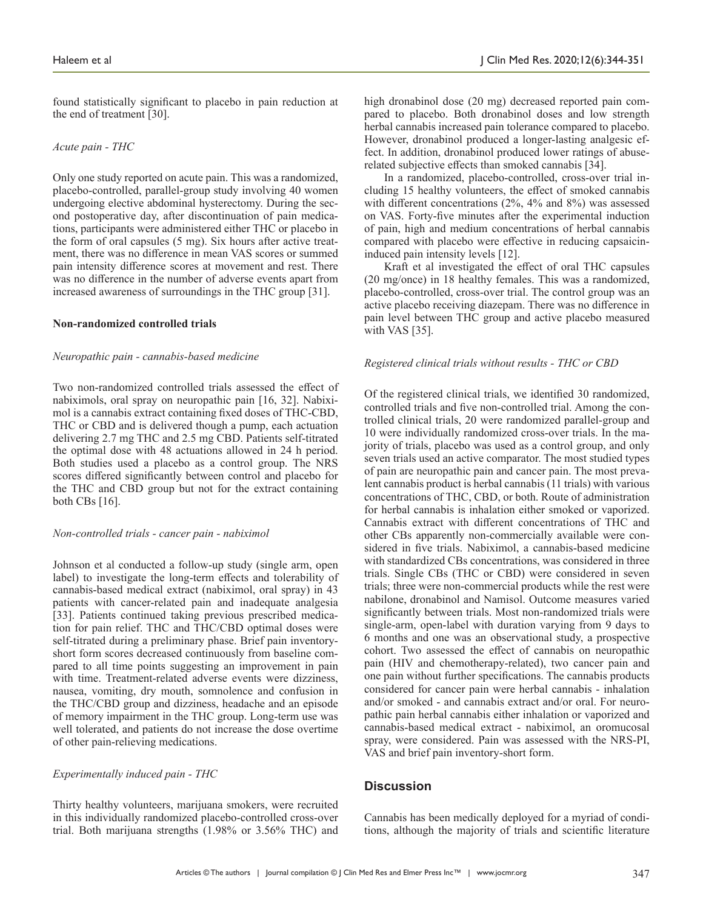found statistically significant to placebo in pain reduction at the end of treatment [30].

*Acute pain - THC*

Only one study reported on acute pain. This was a randomized, placebo-controlled, parallel-group study involving 40 women undergoing elective abdominal hysterectomy. During the second postoperative day, after discontinuation of pain medications, participants were administered either THC or placebo in the form of oral capsules (5 mg). Six hours after active treatment, there was no difference in mean VAS scores or summed pain intensity difference scores at movement and rest. There was no difference in the number of adverse events apart from increased awareness of surroundings in the THC group [31].

#### **Non-randomized controlled trials**

#### *Neuropathic pain - cannabis-based medicine*

Two non-randomized controlled trials assessed the effect of nabiximols, oral spray on neuropathic pain [16, 32]. Nabiximol is a cannabis extract containing fixed doses of THC-CBD, THC or CBD and is delivered though a pump, each actuation delivering 2.7 mg THC and 2.5 mg CBD. Patients self-titrated the optimal dose with 48 actuations allowed in 24 h period. Both studies used a placebo as a control group. The NRS scores differed significantly between control and placebo for the THC and CBD group but not for the extract containing both CBs [16].

#### *Non-controlled trials - cancer pain - nabiximol*

Johnson et al conducted a follow-up study (single arm, open label) to investigate the long-term effects and tolerability of cannabis-based medical extract (nabiximol, oral spray) in 43 patients with cancer-related pain and inadequate analgesia [33]. Patients continued taking previous prescribed medication for pain relief. THC and THC/CBD optimal doses were self-titrated during a preliminary phase. Brief pain inventoryshort form scores decreased continuously from baseline compared to all time points suggesting an improvement in pain with time. Treatment-related adverse events were dizziness, nausea, vomiting, dry mouth, somnolence and confusion in the THC/CBD group and dizziness, headache and an episode of memory impairment in the THC group. Long-term use was well tolerated, and patients do not increase the dose overtime of other pain-relieving medications.

## *Experimentally induced pain - THC*

Thirty healthy volunteers, marijuana smokers, were recruited in this individually randomized placebo-controlled cross-over trial. Both marijuana strengths (1.98% or 3.56% THC) and high dronabinol dose (20 mg) decreased reported pain compared to placebo. Both dronabinol doses and low strength herbal cannabis increased pain tolerance compared to placebo. However, dronabinol produced a longer-lasting analgesic effect. In addition, dronabinol produced lower ratings of abuserelated subjective effects than smoked cannabis [34].

In a randomized, placebo-controlled, cross-over trial including 15 healthy volunteers, the effect of smoked cannabis with different concentrations (2%, 4% and 8%) was assessed on VAS. Forty-five minutes after the experimental induction of pain, high and medium concentrations of herbal cannabis compared with placebo were effective in reducing capsaicininduced pain intensity levels [12].

Kraft et al investigated the effect of oral THC capsules (20 mg/once) in 18 healthy females. This was a randomized, placebo-controlled, cross-over trial. The control group was an active placebo receiving diazepam. There was no difference in pain level between THC group and active placebo measured with VAS [35].

#### *Registered clinical trials without results - THC or CBD*

Of the registered clinical trials, we identified 30 randomized, controlled trials and five non-controlled trial. Among the controlled clinical trials, 20 were randomized parallel-group and 10 were individually randomized cross-over trials. In the majority of trials, placebo was used as a control group, and only seven trials used an active comparator. The most studied types of pain are neuropathic pain and cancer pain. The most prevalent cannabis product is herbal cannabis (11 trials) with various concentrations of THC, CBD, or both. Route of administration for herbal cannabis is inhalation either smoked or vaporized. Cannabis extract with different concentrations of THC and other CBs apparently non-commercially available were considered in five trials. Nabiximol, a cannabis-based medicine with standardized CBs concentrations, was considered in three trials. Single CBs (THC or CBD) were considered in seven trials; three were non-commercial products while the rest were nabilone, dronabinol and Namisol. Outcome measures varied significantly between trials. Most non-randomized trials were single-arm, open-label with duration varying from 9 days to 6 months and one was an observational study, a prospective cohort. Two assessed the effect of cannabis on neuropathic pain (HIV and chemotherapy-related), two cancer pain and one pain without further specifications. The cannabis products considered for cancer pain were herbal cannabis - inhalation and/or smoked - and cannabis extract and/or oral. For neuropathic pain herbal cannabis either inhalation or vaporized and cannabis-based medical extract - nabiximol, an oromucosal spray, were considered. Pain was assessed with the NRS-PI, VAS and brief pain inventory-short form.

## **Discussion**

Cannabis has been medically deployed for a myriad of conditions, although the majority of trials and scientific literature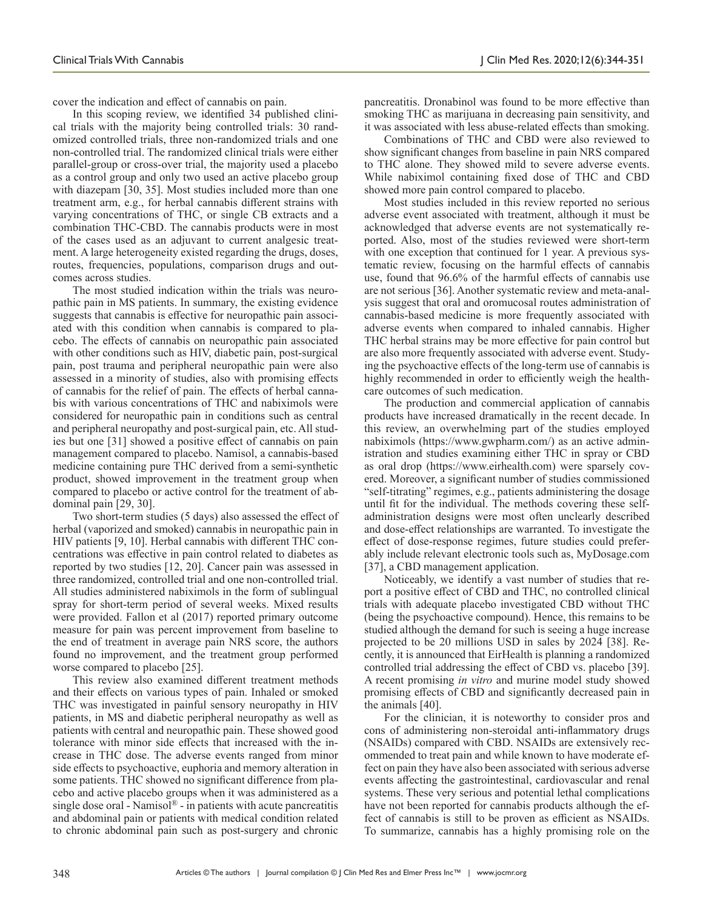cover the indication and effect of cannabis on pain.

In this scoping review, we identified 34 published clinical trials with the majority being controlled trials: 30 randomized controlled trials, three non-randomized trials and one non-controlled trial. The randomized clinical trials were either parallel-group or cross-over trial, the majority used a placebo as a control group and only two used an active placebo group with diazepam [30, 35]. Most studies included more than one treatment arm, e.g., for herbal cannabis different strains with varying concentrations of THC, or single CB extracts and a combination THC-CBD. The cannabis products were in most of the cases used as an adjuvant to current analgesic treatment. A large heterogeneity existed regarding the drugs, doses, routes, frequencies, populations, comparison drugs and outcomes across studies.

The most studied indication within the trials was neuropathic pain in MS patients. In summary, the existing evidence suggests that cannabis is effective for neuropathic pain associated with this condition when cannabis is compared to placebo. The effects of cannabis on neuropathic pain associated with other conditions such as HIV, diabetic pain, post-surgical pain, post trauma and peripheral neuropathic pain were also assessed in a minority of studies, also with promising effects of cannabis for the relief of pain. The effects of herbal cannabis with various concentrations of THC and nabiximols were considered for neuropathic pain in conditions such as central and peripheral neuropathy and post-surgical pain, etc. All studies but one [31] showed a positive effect of cannabis on pain management compared to placebo. Namisol, a cannabis-based medicine containing pure THC derived from a semi-synthetic product, showed improvement in the treatment group when compared to placebo or active control for the treatment of abdominal pain [29, 30].

Two short-term studies (5 days) also assessed the effect of herbal (vaporized and smoked) cannabis in neuropathic pain in HIV patients [9, 10]. Herbal cannabis with different THC concentrations was effective in pain control related to diabetes as reported by two studies [12, 20]. Cancer pain was assessed in three randomized, controlled trial and one non-controlled trial. All studies administered nabiximols in the form of sublingual spray for short-term period of several weeks. Mixed results were provided. Fallon et al (2017) reported primary outcome measure for pain was percent improvement from baseline to the end of treatment in average pain NRS score, the authors found no improvement, and the treatment group performed worse compared to placebo [25].

This review also examined different treatment methods and their effects on various types of pain. Inhaled or smoked THC was investigated in painful sensory neuropathy in HIV patients, in MS and diabetic peripheral neuropathy as well as patients with central and neuropathic pain. These showed good tolerance with minor side effects that increased with the increase in THC dose. The adverse events ranged from minor side effects to psychoactive, euphoria and memory alteration in some patients. THC showed no significant difference from placebo and active placebo groups when it was administered as a single dose oral - Namisol® - in patients with acute pancreatitis and abdominal pain or patients with medical condition related to chronic abdominal pain such as post-surgery and chronic

pancreatitis. Dronabinol was found to be more effective than smoking THC as marijuana in decreasing pain sensitivity, and it was associated with less abuse-related effects than smoking.

Combinations of THC and CBD were also reviewed to show significant changes from baseline in pain NRS compared to THC alone. They showed mild to severe adverse events. While nabiximol containing fixed dose of THC and CBD showed more pain control compared to placebo.

Most studies included in this review reported no serious adverse event associated with treatment, although it must be acknowledged that adverse events are not systematically reported. Also, most of the studies reviewed were short-term with one exception that continued for 1 year. A previous systematic review, focusing on the harmful effects of cannabis use, found that 96.6% of the harmful effects of cannabis use are not serious [36]. Another systematic review and meta-analysis suggest that oral and oromucosal routes administration of cannabis-based medicine is more frequently associated with adverse events when compared to inhaled cannabis. Higher THC herbal strains may be more effective for pain control but are also more frequently associated with adverse event. Studying the psychoactive effects of the long-term use of cannabis is highly recommended in order to efficiently weigh the healthcare outcomes of such medication.

The production and commercial application of cannabis products have increased dramatically in the recent decade. In this review, an overwhelming part of the studies employed nabiximols (https://www.gwpharm.com/) as an active administration and studies examining either THC in spray or CBD as oral drop (https://www.eirhealth.com) were sparsely covered. Moreover, a significant number of studies commissioned "self-titrating" regimes, e.g., patients administering the dosage until fit for the individual. The methods covering these selfadministration designs were most often unclearly described and dose-effect relationships are warranted. To investigate the effect of dose-response regimes, future studies could preferably include relevant electronic tools such as, MyDosage.com [37], a CBD management application.

Noticeably, we identify a vast number of studies that report a positive effect of CBD and THC, no controlled clinical trials with adequate placebo investigated CBD without THC (being the psychoactive compound). Hence, this remains to be studied although the demand for such is seeing a huge increase projected to be 20 millions USD in sales by 2024 [38]. Recently, it is announced that EirHealth is planning a randomized controlled trial addressing the effect of CBD vs. placebo [39]. A recent promising *in vitro* and murine model study showed promising effects of CBD and significantly decreased pain in the animals [40].

For the clinician, it is noteworthy to consider pros and cons of administering non-steroidal anti-inflammatory drugs (NSAIDs) compared with CBD. NSAIDs are extensively recommended to treat pain and while known to have moderate effect on pain they have also been associated with serious adverse events affecting the gastrointestinal, cardiovascular and renal systems. These very serious and potential lethal complications have not been reported for cannabis products although the effect of cannabis is still to be proven as efficient as NSAIDs. To summarize, cannabis has a highly promising role on the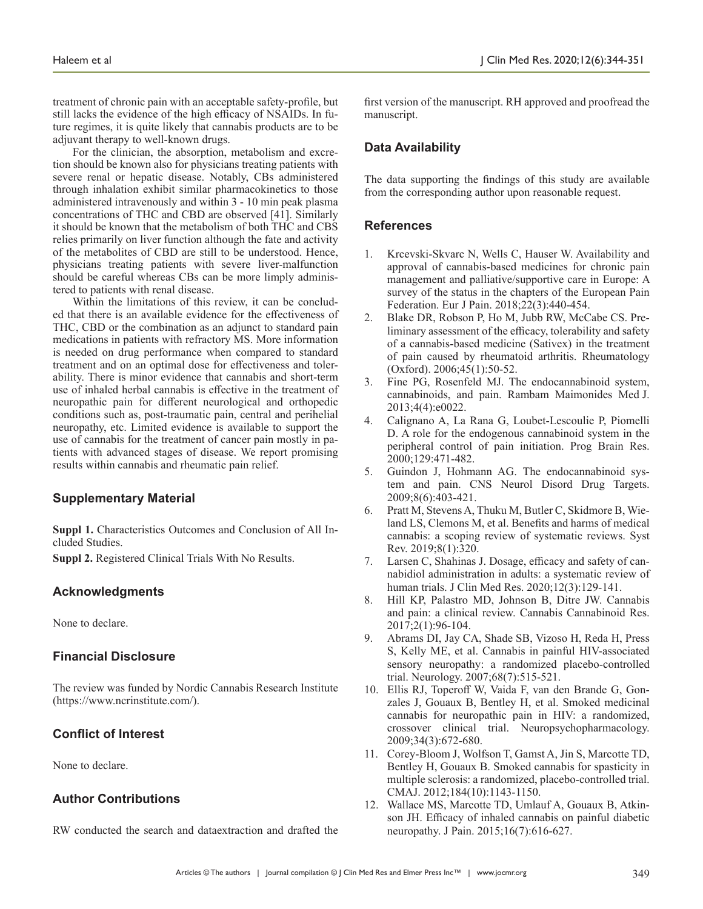treatment of chronic pain with an acceptable safety-profile, but still lacks the evidence of the high efficacy of NSAIDs. In future regimes, it is quite likely that cannabis products are to be adjuvant therapy to well-known drugs.

For the clinician, the absorption, metabolism and excretion should be known also for physicians treating patients with severe renal or hepatic disease. Notably, CBs administered through inhalation exhibit similar pharmacokinetics to those administered intravenously and within 3 - 10 min peak plasma concentrations of THC and CBD are observed [41]. Similarly it should be known that the metabolism of both THC and CBS relies primarily on liver function although the fate and activity of the metabolites of CBD are still to be understood. Hence, physicians treating patients with severe liver-malfunction should be careful whereas CBs can be more limply administered to patients with renal disease.

Within the limitations of this review, it can be concluded that there is an available evidence for the effectiveness of THC, CBD or the combination as an adjunct to standard pain medications in patients with refractory MS. More information is needed on drug performance when compared to standard treatment and on an optimal dose for effectiveness and tolerability. There is minor evidence that cannabis and short-term use of inhaled herbal cannabis is effective in the treatment of neuropathic pain for different neurological and orthopedic conditions such as, post-traumatic pain, central and perihelial neuropathy, etc. Limited evidence is available to support the use of cannabis for the treatment of cancer pain mostly in patients with advanced stages of disease. We report promising results within cannabis and rheumatic pain relief.

## **Supplementary Material**

**Suppl 1.** Characteristics Outcomes and Conclusion of All Included Studies.

**Suppl 2.** Registered Clinical Trials With No Results.

# **Acknowledgments**

None to declare.

# **Financial Disclosure**

The review was funded by Nordic Cannabis Research Institute (https://www.ncrinstitute.com/).

# **Conflict of Interest**

None to declare.

# **Author Contributions**

RW conducted the search and dataextraction and drafted the

first version of the manuscript. RH approved and proofread the manuscript.

# **Data Availability**

The data supporting the findings of this study are available from the corresponding author upon reasonable request.

# **References**

- 1. Krcevski-Skvarc N, Wells C, Hauser W. Availability and approval of cannabis-based medicines for chronic pain management and palliative/supportive care in Europe: A survey of the status in the chapters of the European Pain Federation. Eur J Pain. 2018;22(3):440-454.
- 2. Blake DR, Robson P, Ho M, Jubb RW, McCabe CS. Preliminary assessment of the efficacy, tolerability and safety of a cannabis-based medicine (Sativex) in the treatment of pain caused by rheumatoid arthritis. Rheumatology (Oxford). 2006;45(1):50-52.
- 3. Fine PG, Rosenfeld MJ. The endocannabinoid system, cannabinoids, and pain. Rambam Maimonides Med J. 2013;4(4):e0022.
- 4. Calignano A, La Rana G, Loubet-Lescoulie P, Piomelli D. A role for the endogenous cannabinoid system in the peripheral control of pain initiation. Prog Brain Res. 2000;129:471-482.
- 5. Guindon J, Hohmann AG. The endocannabinoid system and pain. CNS Neurol Disord Drug Targets. 2009;8(6):403-421.
- 6. Pratt M, Stevens A, Thuku M, Butler C, Skidmore B, Wieland LS, Clemons M, et al. Benefits and harms of medical cannabis: a scoping review of systematic reviews. Syst Rev. 2019;8(1):320.
- 7. Larsen C, Shahinas J. Dosage, efficacy and safety of cannabidiol administration in adults: a systematic review of human trials. J Clin Med Res. 2020;12(3):129-141.
- 8. Hill KP, Palastro MD, Johnson B, Ditre JW. Cannabis and pain: a clinical review. Cannabis Cannabinoid Res. 2017;2(1):96-104.
- 9. Abrams DI, Jay CA, Shade SB, Vizoso H, Reda H, Press S, Kelly ME, et al. Cannabis in painful HIV-associated sensory neuropathy: a randomized placebo-controlled trial. Neurology. 2007;68(7):515-521.
- 10. Ellis RJ, Toperoff W, Vaida F, van den Brande G, Gonzales J, Gouaux B, Bentley H, et al. Smoked medicinal cannabis for neuropathic pain in HIV: a randomized, crossover clinical trial. Neuropsychopharmacology. 2009;34(3):672-680.
- 11. Corey-Bloom J, Wolfson T, Gamst A, Jin S, Marcotte TD, Bentley H, Gouaux B. Smoked cannabis for spasticity in multiple sclerosis: a randomized, placebo-controlled trial. CMAJ. 2012;184(10):1143-1150.
- 12. Wallace MS, Marcotte TD, Umlauf A, Gouaux B, Atkinson JH. Efficacy of inhaled cannabis on painful diabetic neuropathy. J Pain. 2015;16(7):616-627.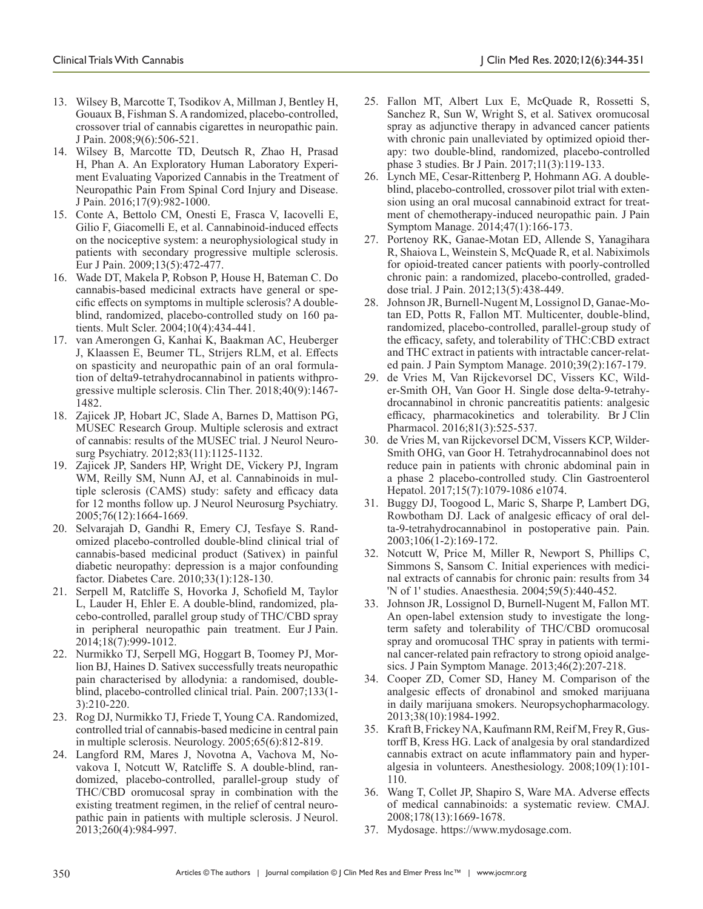- 13. Wilsey B, Marcotte T, Tsodikov A, Millman J, Bentley H, Gouaux B, Fishman S. A randomized, placebo-controlled, crossover trial of cannabis cigarettes in neuropathic pain. J Pain. 2008;9(6):506-521.
- 14. Wilsey B, Marcotte TD, Deutsch R, Zhao H, Prasad H, Phan A. An Exploratory Human Laboratory Experiment Evaluating Vaporized Cannabis in the Treatment of Neuropathic Pain From Spinal Cord Injury and Disease. J Pain. 2016;17(9):982-1000.
- 15. Conte A, Bettolo CM, Onesti E, Frasca V, Iacovelli E, Gilio F, Giacomelli E, et al. Cannabinoid-induced effects on the nociceptive system: a neurophysiological study in patients with secondary progressive multiple sclerosis. Eur J Pain. 2009;13(5):472-477.
- 16. Wade DT, Makela P, Robson P, House H, Bateman C. Do cannabis-based medicinal extracts have general or specific effects on symptoms in multiple sclerosis? A doubleblind, randomized, placebo-controlled study on 160 patients. Mult Scler. 2004;10(4):434-441.
- 17. van Amerongen G, Kanhai K, Baakman AC, Heuberger J, Klaassen E, Beumer TL, Strijers RLM, et al. Effects on spasticity and neuropathic pain of an oral formulation of delta9-tetrahydrocannabinol in patients withprogressive multiple sclerosis. Clin Ther. 2018;40(9):1467- 1482.
- 18. Zajicek JP, Hobart JC, Slade A, Barnes D, Mattison PG, MUSEC Research Group. Multiple sclerosis and extract of cannabis: results of the MUSEC trial. J Neurol Neurosurg Psychiatry. 2012;83(11):1125-1132.
- 19. Zajicek JP, Sanders HP, Wright DE, Vickery PJ, Ingram WM, Reilly SM, Nunn AJ, et al. Cannabinoids in multiple sclerosis (CAMS) study: safety and efficacy data for 12 months follow up. J Neurol Neurosurg Psychiatry. 2005;76(12):1664-1669.
- 20. Selvarajah D, Gandhi R, Emery CJ, Tesfaye S. Randomized placebo-controlled double-blind clinical trial of cannabis-based medicinal product (Sativex) in painful diabetic neuropathy: depression is a major confounding factor. Diabetes Care. 2010;33(1):128-130.
- 21. Serpell M, Ratcliffe S, Hovorka J, Schofield M, Taylor L, Lauder H, Ehler E. A double-blind, randomized, placebo-controlled, parallel group study of THC/CBD spray in peripheral neuropathic pain treatment. Eur J Pain. 2014;18(7):999-1012.
- 22. Nurmikko TJ, Serpell MG, Hoggart B, Toomey PJ, Morlion BJ, Haines D. Sativex successfully treats neuropathic pain characterised by allodynia: a randomised, doubleblind, placebo-controlled clinical trial. Pain. 2007;133(1- 3):210-220.
- 23. Rog DJ, Nurmikko TJ, Friede T, Young CA. Randomized, controlled trial of cannabis-based medicine in central pain in multiple sclerosis. Neurology. 2005;65(6):812-819.
- 24. Langford RM, Mares J, Novotna A, Vachova M, Novakova I, Notcutt W, Ratcliffe S. A double-blind, randomized, placebo-controlled, parallel-group study of THC/CBD oromucosal spray in combination with the existing treatment regimen, in the relief of central neuropathic pain in patients with multiple sclerosis. J Neurol. 2013;260(4):984-997.
- 25. Fallon MT, Albert Lux E, McQuade R, Rossetti S, Sanchez R, Sun W, Wright S, et al. Sativex oromucosal spray as adjunctive therapy in advanced cancer patients with chronic pain unalleviated by optimized opioid therapy: two double-blind, randomized, placebo-controlled phase 3 studies. Br J Pain. 2017;11(3):119-133.
- 26. Lynch ME, Cesar-Rittenberg P, Hohmann AG. A doubleblind, placebo-controlled, crossover pilot trial with extension using an oral mucosal cannabinoid extract for treatment of chemotherapy-induced neuropathic pain. J Pain Symptom Manage. 2014;47(1):166-173.
- 27. Portenoy RK, Ganae-Motan ED, Allende S, Yanagihara R, Shaiova L, Weinstein S, McQuade R, et al. Nabiximols for opioid-treated cancer patients with poorly-controlled chronic pain: a randomized, placebo-controlled, gradeddose trial. J Pain. 2012;13(5):438-449.
- 28. Johnson JR, Burnell-Nugent M, Lossignol D, Ganae-Motan ED, Potts R, Fallon MT. Multicenter, double-blind, randomized, placebo-controlled, parallel-group study of the efficacy, safety, and tolerability of THC:CBD extract and THC extract in patients with intractable cancer-related pain. J Pain Symptom Manage. 2010;39(2):167-179.
- 29. de Vries M, Van Rijckevorsel DC, Vissers KC, Wilder-Smith OH, Van Goor H. Single dose delta-9-tetrahydrocannabinol in chronic pancreatitis patients: analgesic efficacy, pharmacokinetics and tolerability. Br J Clin Pharmacol. 2016;81(3):525-537.
- 30. de Vries M, van Rijckevorsel DCM, Vissers KCP, Wilder-Smith OHG, van Goor H. Tetrahydrocannabinol does not reduce pain in patients with chronic abdominal pain in a phase 2 placebo-controlled study. Clin Gastroenterol Hepatol. 2017;15(7):1079-1086 e1074.
- 31. Buggy DJ, Toogood L, Maric S, Sharpe P, Lambert DG, Rowbotham DJ. Lack of analgesic efficacy of oral delta-9-tetrahydrocannabinol in postoperative pain. Pain. 2003;106(1-2):169-172.
- 32. Notcutt W, Price M, Miller R, Newport S, Phillips C, Simmons S, Sansom C. Initial experiences with medicinal extracts of cannabis for chronic pain: results from 34 'N of 1' studies. Anaesthesia. 2004;59(5):440-452.
- 33. Johnson JR, Lossignol D, Burnell-Nugent M, Fallon MT. An open-label extension study to investigate the longterm safety and tolerability of THC/CBD oromucosal spray and oromucosal THC spray in patients with terminal cancer-related pain refractory to strong opioid analgesics. J Pain Symptom Manage. 2013;46(2):207-218.
- 34. Cooper ZD, Comer SD, Haney M. Comparison of the analgesic effects of dronabinol and smoked marijuana in daily marijuana smokers. Neuropsychopharmacology. 2013;38(10):1984-1992.
- 35. Kraft B, Frickey NA, Kaufmann RM, Reif M, Frey R, Gustorff B, Kress HG. Lack of analgesia by oral standardized cannabis extract on acute inflammatory pain and hyperalgesia in volunteers. Anesthesiology. 2008;109(1):101- 110.
- 36. Wang T, Collet JP, Shapiro S, Ware MA. Adverse effects of medical cannabinoids: a systematic review. CMAJ. 2008;178(13):1669-1678.
- 37. Mydosage. https://www.mydosage.com.